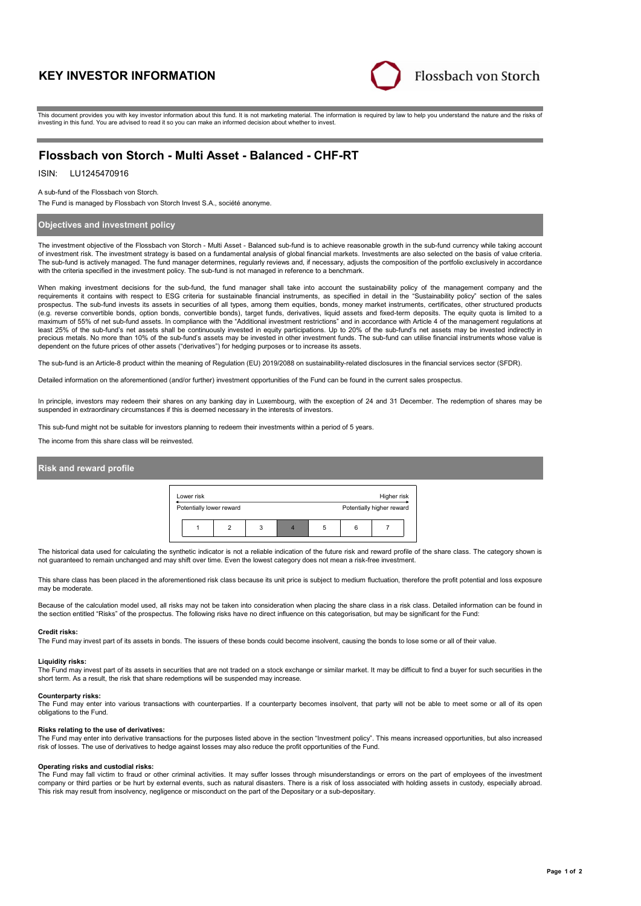# **KEY INVESTOR INFORMATION**



This document provides you with key investor information about this fund. It is not marketing material. The information is required by law to help you understand the nature and the risks of investing in this fund. You are advised to read it so you can make an informed decision about whether to invest.

# **Flossbach von Storch - Multi Asset - Balanced - CHF-RT**

## ISIN: LU1245470916

### A sub-fund of the Flossbach von Storch.

The Fund is managed by Flossbach von Storch Invest S.A., société anonyme.

### **Objectives and investment policy**

The investment objective of the Flossbach von Storch - Multi Asset - Balanced sub-fund is to achieve reasonable growth in the sub-fund currency while taking account of investment risk. The investment strategy is based on a fundamental analysis of global financial markets. Investments are also selected on the basis of value criteria. The sub-fund is actively managed. The fund manager determines, regularly reviews and, if necessary, adjusts the composition of the portfolio exclusively in accordance with the criteria specified in the investment policy. The sub-fund is not managed in reference to a benchmark.

When making investment decisions for the sub-fund, the fund manager shall take into account the sustainability policy of the management company and the requirements it contains with respect to ESG criteria for sustainable financial instruments, as specified in detail in the "Sustainability policy" section of the sales prospectus. The sub-fund invests its assets in securities of all types, among them equities, bonds, money market instruments, certificates, other structured products (e.g. reverse convertible bonds, option bonds, convertible bonds), target funds, derivatives, liquid assets and fixed-term deposits. The equity quota is limited to a maximum of 55% of net sub-fund assets. In compliance with the "Additional investment restrictions" and in accordance with Article 4 of the management requisitions at the "Additional investment restrictions" and in accordan least 25% of the sub-fund's net assets shall be continuously invested in equity participations. Up to 20% of the sub-fund's net assets may be invested indirectly in precious metals. No more than 10% of the sub-fund's assets may be invested in other investment funds. The sub-fund can utilise financial instruments whose value is dependent on the future prices of other assets ("derivatives") for hedging purposes or to increase its assets.

The sub-fund is an Article-8 product within the meaning of Regulation (EU) 2019/2088 on sustainability-related disclosures in the financial services sector (SFDR).

Detailed information on the aforementioned (and/or further) investment opportunities of the Fund can be found in the current sales prospectus.

In principle, investors may redeem their shares on any banking day in Luxembourg, with the exception of 24 and 31 December. The redemption of shares may be suspended in extraordinary circumstances if this is deemed necessary in the interests of investors.

This sub-fund might not be suitable for investors planning to redeem their investments within a period of 5 years.

The income from this share class will be reinvested.

### **Risk and reward profile**



The historical data used for calculating the synthetic indicator is not a reliable indication of the future risk and reward profile of the share class. The category shown is not guaranteed to remain unchanged and may shift over time. Even the lowest category does not mean a risk-free investment.

This share class has been placed in the aforementioned risk class because its unit price is subject to medium fluctuation, therefore the profit potential and loss exposure may be moderate

Because of the calculation model used, all risks may not be taken into consideration when placing the share class in a risk class. Detailed information can be found in the section entitled "Risks" of the prospectus. The following risks have no direct influence on this categorisation, but may be significant for the Fund:

#### **Credit risks:**

The Fund may invest part of its assets in bonds. The issuers of these bonds could become insolvent, causing the bonds to lose some or all of their value.

#### **Liquidity risks:**

The Fund may invest part of its assets in securities that are not traded on a stock exchange or similar market. It may be difficult to find a buyer for such securities in the short term. As a result, the risk that share redemptions will be suspended may increase.

#### **Counterparty risks:**

The Fund may enter into various transactions with counterparties. If a counterparty becomes insolvent, that party will not be able to meet some or all of its open obligations to the Fund.

#### **Risks relating to the use of derivatives:**

The Fund may enter into derivative transactions for the purposes listed above in the section "Investment policy". This means increased opportunities, but also increased risk of losses. The use of derivatives to hedge against losses may also reduce the profit opportunities of the Fund.

#### **Operating risks and custodial risks:**

The Fund may fall victim to fraud or other criminal activities. It may suffer losses through misunderstandings or errors on the part of employees of the investment company or third parties or be hurt by external events, such as natural disasters. There is a risk of loss associated with holding assets in custody, especially abroad. This risk may result from insolvency, negligence or misconduct on the part of the Depositary or a sub-depositary.